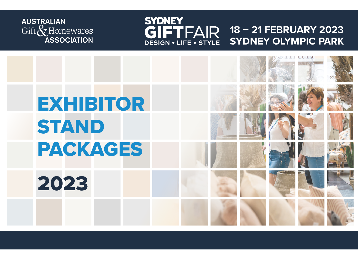

### **SYDNEY** GIFTFAIR **18 – 21 FEBRUARY 2023 SYDNEY OLYMPIC PARK**DESIGN . LIFE . STYLE

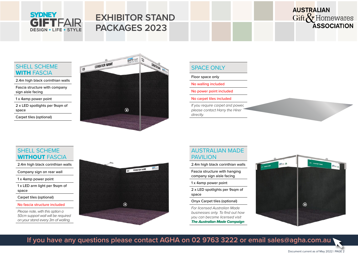# **SYDNEY GIFTFAIR DESIGN . LIFE . STYLE**

# **EXHIBITOR STAND PACKAGES 2023**

# **AUSTRALIAN** Gift & Homewares **ASSOCIATION**

# SHELL SCHEME **WITH FASCIA**

2.4m high black corinthian walls

Fascia structure with company sign aisle facing

1 x 4amp power point

2 x LED spotlights per 9sqm of space

Carpet tiles (optional)



# SPACE ONLY

Floor space only

No walling included

No power point included

No carpet tiles included

*If you require carpet and power, please contact Harry the Hirer directly.*

# SHELL SCHEME WITHOUT FASCIA

2.4m high black corinthian walls

Company sign on rear wall

1 x 4amp power point

1 x LED arm light per 9sqm of space

Carpet tiles (optional)

#### No fascia structure included

*Please note, with this option a 50cm support wall will be required on your stand every 3m of walling.*



# AUSTRALIAN MADE PAVIL **ION**

2.4m high black corinthian walls

Fascia structure with hanging company sign aisle facing

1 x 4amp power point

2 x LED spotlights per 9sqm of space

Onyx Carpet tiles (optional)

*For licensed Australian Made businesses only. To find out how you can become licensed visit [The Australian Made Campaign](https://australianmade.com.au/licensees/register/)*



**If you have any questions please contact AGHA on [02 9763 3222 o](tel:+61297633222)r email [sales@agha.com.au](mailto:sales%40agha.com.au?subject=)**

Document current as of May 2022 | PAGE 2